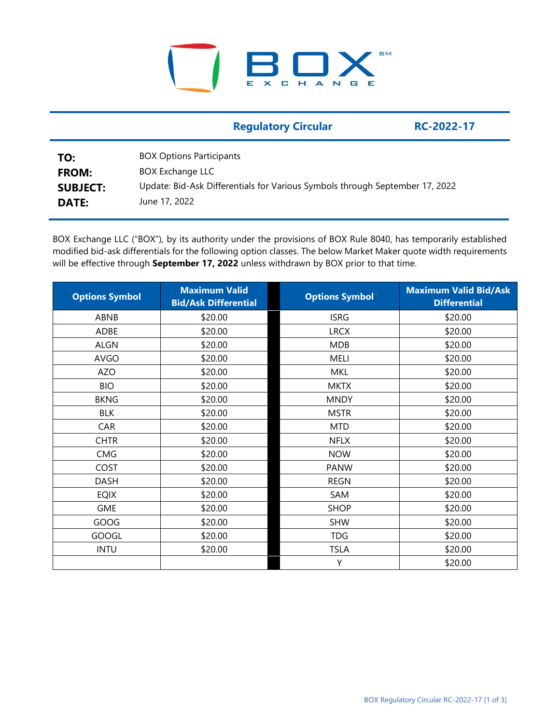## SM E  $X$   $C$   $H$ ANGE

|                                 | <b>Regulatory Circular</b>                                                                              | RC-2022-17 |
|---------------------------------|---------------------------------------------------------------------------------------------------------|------------|
| TO:                             | <b>BOX Options Participants</b>                                                                         |            |
| <b>FROM:</b><br><b>SUBJECT:</b> | <b>BOX Exchange LLC</b><br>Update: Bid-Ask Differentials for Various Symbols through September 17, 2022 |            |
| <b>DATE:</b>                    | June 17, 2022                                                                                           |            |

BOX Exchange LLC ("BOX"), by its authority under the provisions of BOX Rule 8040, has temporarily established modified bid-ask differentials for the following option classes. The below Market Maker quote width requirements will be effective through **September 17, 2022** unless withdrawn by BOX prior to that time.

| <b>Options Symbol</b> | <b>Maximum Valid</b><br><b>Bid/Ask Differential</b> | <b>Options Symbol</b> | <b>Maximum Valid Bid/Ask</b><br><b>Differential</b> |
|-----------------------|-----------------------------------------------------|-----------------------|-----------------------------------------------------|
| ABNB                  | \$20.00                                             | <b>ISRG</b>           | \$20.00                                             |
| ADBE                  | \$20.00                                             | <b>LRCX</b>           | \$20.00                                             |
| <b>ALGN</b>           | \$20.00                                             | <b>MDB</b>            | \$20.00                                             |
| <b>AVGO</b>           | \$20.00                                             | <b>MELI</b>           | \$20.00                                             |
| <b>AZO</b>            | \$20.00                                             | <b>MKL</b>            | \$20.00                                             |
| <b>BIO</b>            | \$20.00                                             | <b>MKTX</b>           | \$20.00                                             |
| <b>BKNG</b>           | \$20.00                                             | <b>MNDY</b>           | \$20.00                                             |
| <b>BLK</b>            | \$20.00                                             | <b>MSTR</b>           | \$20.00                                             |
| CAR                   | \$20.00                                             | <b>MTD</b>            | \$20.00                                             |
| <b>CHTR</b>           | \$20.00                                             | <b>NFLX</b>           | \$20.00                                             |
| CMG                   | \$20.00                                             | <b>NOW</b>            | \$20.00                                             |
| COST                  | \$20.00                                             | <b>PANW</b>           | \$20.00                                             |
| <b>DASH</b>           | \$20.00                                             | <b>REGN</b>           | \$20.00                                             |
| <b>EQIX</b>           | \$20.00                                             | SAM                   | \$20.00                                             |
| <b>GME</b>            | \$20.00                                             | <b>SHOP</b>           | \$20.00                                             |
| GOOG                  | \$20.00                                             | <b>SHW</b>            | \$20.00                                             |
| <b>GOOGL</b>          | \$20.00                                             | <b>TDG</b>            | \$20.00                                             |
| <b>INTU</b>           | \$20.00                                             | <b>TSLA</b>           | \$20.00                                             |
|                       |                                                     | Υ                     | \$20.00                                             |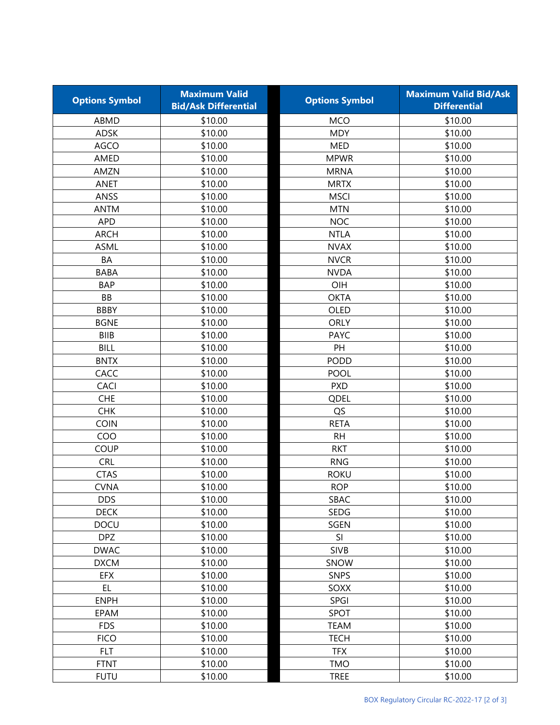| <b>Options Symbol</b> | <b>Maximum Valid</b><br><b>Bid/Ask Differential</b> | <b>Options Symbol</b> | <b>Maximum Valid Bid/Ask</b><br><b>Differential</b> |
|-----------------------|-----------------------------------------------------|-----------------------|-----------------------------------------------------|
| ABMD                  | \$10.00                                             | <b>MCO</b>            | \$10.00                                             |
| <b>ADSK</b>           | \$10.00                                             | <b>MDY</b>            | \$10.00                                             |
| AGCO                  | \$10.00                                             | <b>MED</b>            | \$10.00                                             |
| AMED                  | \$10.00                                             | <b>MPWR</b>           | \$10.00                                             |
| AMZN                  | \$10.00                                             | <b>MRNA</b>           | \$10.00                                             |
| <b>ANET</b>           | \$10.00                                             | <b>MRTX</b>           | \$10.00                                             |
| ANSS                  | \$10.00                                             | <b>MSCI</b>           | \$10.00                                             |
| <b>ANTM</b>           | \$10.00                                             | <b>MTN</b>            | \$10.00                                             |
| <b>APD</b>            | \$10.00                                             | <b>NOC</b>            | \$10.00                                             |
| <b>ARCH</b>           | \$10.00                                             | <b>NTLA</b>           | \$10.00                                             |
| <b>ASML</b>           | \$10.00                                             | <b>NVAX</b>           | \$10.00                                             |
| BA                    | \$10.00                                             | <b>NVCR</b>           | \$10.00                                             |
| <b>BABA</b>           | \$10.00                                             | <b>NVDA</b>           | \$10.00                                             |
| <b>BAP</b>            | \$10.00                                             | OIH                   | \$10.00                                             |
| <b>BB</b>             | \$10.00                                             | <b>OKTA</b>           | \$10.00                                             |
| <b>BBBY</b>           | \$10.00                                             | OLED                  | \$10.00                                             |
| <b>BGNE</b>           | \$10.00                                             | <b>ORLY</b>           | \$10.00                                             |
| <b>BIIB</b>           | \$10.00                                             | <b>PAYC</b>           | \$10.00                                             |
| <b>BILL</b>           | \$10.00                                             | PH                    | \$10.00                                             |
| <b>BNTX</b>           | \$10.00                                             | <b>PODD</b>           | \$10.00                                             |
| CACC                  | \$10.00                                             | POOL                  | \$10.00                                             |
| <b>CACI</b>           | \$10.00                                             | <b>PXD</b>            | \$10.00                                             |
| <b>CHE</b>            | \$10.00                                             | QDEL                  | \$10.00                                             |
| <b>CHK</b>            | \$10.00                                             | QS                    | \$10.00                                             |
| <b>COIN</b>           | \$10.00                                             | <b>RETA</b>           | \$10.00                                             |
| COO                   | \$10.00                                             | <b>RH</b>             | \$10.00                                             |
| <b>COUP</b>           | \$10.00                                             | <b>RKT</b>            | \$10.00                                             |
| <b>CRL</b>            | \$10.00                                             | <b>RNG</b>            | \$10.00                                             |
| <b>CTAS</b>           | \$10.00                                             | <b>ROKU</b>           | \$10.00                                             |
| <b>CVNA</b>           | \$10.00                                             | <b>ROP</b>            | \$10.00                                             |
| <b>DDS</b>            | \$10.00                                             | SBAC                  | \$10.00                                             |
| <b>DECK</b>           | \$10.00                                             | <b>SEDG</b>           | \$10.00                                             |
| DOCU                  | \$10.00                                             | SGEN                  | \$10.00                                             |
| <b>DPZ</b>            | \$10.00                                             | SI                    | \$10.00                                             |
| <b>DWAC</b>           | \$10.00                                             | <b>SIVB</b>           | \$10.00                                             |
| <b>DXCM</b>           | \$10.00                                             | SNOW                  | \$10.00                                             |
| EFX                   | \$10.00                                             | <b>SNPS</b>           | \$10.00                                             |
| EL.                   | \$10.00                                             | SOXX                  | \$10.00                                             |
| <b>ENPH</b>           | \$10.00                                             | SPGI                  | \$10.00                                             |
| EPAM                  | \$10.00                                             | SPOT                  | \$10.00                                             |
| <b>FDS</b>            | \$10.00                                             | <b>TEAM</b>           | \$10.00                                             |
| <b>FICO</b>           | \$10.00                                             | <b>TECH</b>           | \$10.00                                             |
| <b>FLT</b>            | \$10.00                                             | <b>TFX</b>            | \$10.00                                             |
| <b>FTNT</b>           | \$10.00                                             | <b>TMO</b>            | \$10.00                                             |
| <b>FUTU</b>           | \$10.00                                             | <b>TREE</b>           | \$10.00                                             |